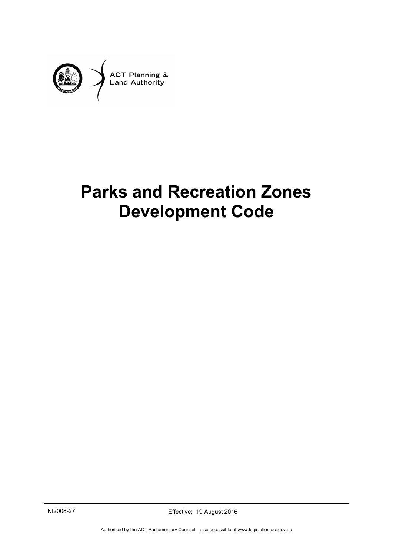

# **Parks and Recreation Zones Development Code**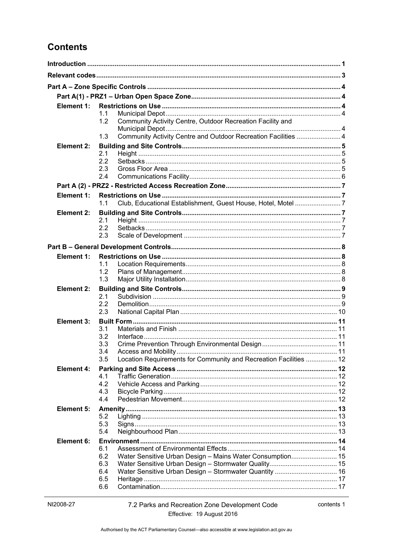# **Contents**

| Element 1:                                                               |  |
|--------------------------------------------------------------------------|--|
| 1.1                                                                      |  |
| Community Activity Centre, Outdoor Recreation Facility and<br>1.2        |  |
| Community Activity Centre and Outdoor Recreation Facilities  4<br>1.3    |  |
| Element 2:                                                               |  |
| 2.1<br>2.2                                                               |  |
| 2.3                                                                      |  |
| 2.4                                                                      |  |
|                                                                          |  |
| Element 1:                                                               |  |
| 1.1                                                                      |  |
| Element 2:                                                               |  |
| 2.1                                                                      |  |
| 2.2                                                                      |  |
| 2.3                                                                      |  |
|                                                                          |  |
| Element 1:                                                               |  |
| 1.1                                                                      |  |
| 1.2<br>1.3                                                               |  |
| Element 2:                                                               |  |
| 2.1                                                                      |  |
| 2.2                                                                      |  |
| 2.3                                                                      |  |
| Element 3:                                                               |  |
| 3.1<br>3.2                                                               |  |
| 3.3                                                                      |  |
| 3.4                                                                      |  |
| Location Requirements for Community and Recreation Facilities  12<br>3.5 |  |
| <b>Element 4:</b>                                                        |  |
| 4.1                                                                      |  |
| 4.2<br>4.3                                                               |  |
| 4.4                                                                      |  |
| Element 5:                                                               |  |
| 5.2                                                                      |  |
| 5.3                                                                      |  |
| 5.4                                                                      |  |
| Element 6:                                                               |  |
| 6.1                                                                      |  |
| 6.2<br>Water Sensitive Urban Design - Mains Water Consumption 15<br>6.3  |  |
| 6.4                                                                      |  |
| 6.5                                                                      |  |
| 6.6                                                                      |  |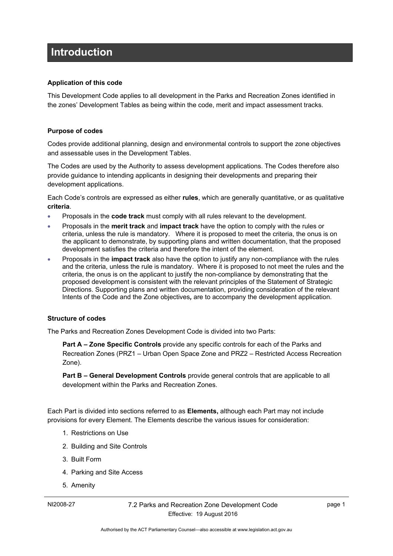# <span id="page-4-0"></span>**Introduction**

#### **Application of this code**

This Development Code applies to all development in the Parks and Recreation Zones identified in the zones' Development Tables as being within the code, merit and impact assessment tracks.

#### **Purpose of codes**

Codes provide additional planning, design and environmental controls to support the zone objectives and assessable uses in the Development Tables.

The Codes are used by the Authority to assess development applications. The Codes therefore also provide guidance to intending applicants in designing their developments and preparing their development applications.

Each Code's controls are expressed as either **rules**, which are generally quantitative, or as qualitative **criteria**.

- Proposals in the **code track** must comply with all rules relevant to the development.
- Proposals in the **merit track** and **impact track** have the option to comply with the rules or criteria, unless the rule is mandatory. Where it is proposed to meet the criteria, the onus is on the applicant to demonstrate, by supporting plans and written documentation, that the proposed development satisfies the criteria and therefore the intent of the element.
- Proposals in the **impact track** also have the option to justify any non-compliance with the rules and the criteria, unless the rule is mandatory. Where it is proposed to not meet the rules and the criteria, the onus is on the applicant to justify the non-compliance by demonstrating that the proposed development is consistent with the relevant principles of the Statement of Strategic Directions. Supporting plans and written documentation, providing consideration of the relevant Intents of the Code and the Zone objectives*,* are to accompany the development application.

#### **Structure of codes**

The Parks and Recreation Zones Development Code is divided into two Parts:

**Part A – Zone Specific Controls** provide any specific controls for each of the Parks and Recreation Zones (PRZ1 – Urban Open Space Zone and PRZ2 – Restricted Access Recreation Zone).

**Part B – General Development Controls** provide general controls that are applicable to all development within the Parks and Recreation Zones.

Each Part is divided into sections referred to as **Elements,** although each Part may not include provisions for every Element. The Elements describe the various issues for consideration:

- 1. Restrictions on Use
- 2. Building and Site Controls
- 3. Built Form
- 4. Parking and Site Access
- 5. Amenity

page 1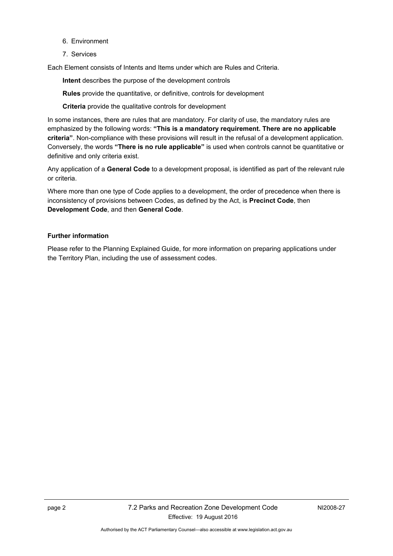- 6. Environment
- 7. Services

Each Element consists of Intents and Items under which are Rules and Criteria.

**Intent** describes the purpose of the development controls

**Rules** provide the quantitative, or definitive, controls for development

**Criteria** provide the qualitative controls for development

In some instances, there are rules that are mandatory. For clarity of use, the mandatory rules are emphasized by the following words: **"This is a mandatory requirement. There are no applicable criteria"**. Non-compliance with these provisions will result in the refusal of a development application. Conversely, the words **"There is no rule applicable"** is used when controls cannot be quantitative or definitive and only criteria exist.

Any application of a **General Code** to a development proposal, is identified as part of the relevant rule or criteria.

Where more than one type of Code applies to a development, the order of precedence when there is inconsistency of provisions between Codes, as defined by the Act, is **Precinct Code**, then **Development Code**, and then **General Code**.

#### **Further information**

Please refer to the Planning Explained Guide, for more information on preparing applications under the Territory Plan, including the use of assessment codes.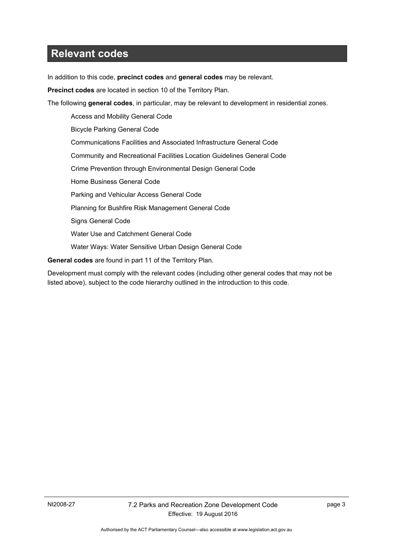# <span id="page-6-0"></span>**Relevant codes**

In addition to this code, **precinct codes** and **general codes** may be relevant.

**Precinct codes** are located in section 10 of the Territory Plan.

The following **general codes**, in particular, may be relevant to development in residential zones.

Access and Mobility General Code Bicycle Parking General Code Communications Facilities and Associated Infrastructure General Code Community and Recreational Facilities Location Guidelines General Code Crime Prevention through Environmental Design General Code Home Business General Code Parking and Vehicular Access General Code Planning for Bushfire Risk Management General Code Signs General Code Water Use and Catchment General Code Water Ways: Water Sensitive Urban Design General Code

**General codes** are found in part 11 of the Territory Plan.

Development must comply with the relevant codes (including other general codes that may not be listed above), subject to the code hierarchy outlined in the introduction to this code.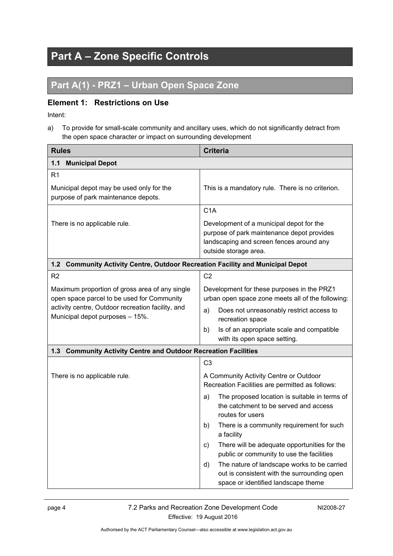# <span id="page-7-0"></span>**Part A – Zone Specific Controls**

# <span id="page-7-1"></span>**Part A(1) - PRZ1 – Urban Open Space Zone**

### <span id="page-7-2"></span>**Element 1: Restrictions on Use**

Intent:

a) To provide for small-scale community and ancillary uses, which do not significantly detract from the open space character or impact on surrounding development

<span id="page-7-5"></span><span id="page-7-4"></span><span id="page-7-3"></span>

| <b>Rules</b>                                                                                                                                                                         | <b>Criteria</b>                                                                                                                                                                                                                                                                                                                                                                                                                                                                                                                                |
|--------------------------------------------------------------------------------------------------------------------------------------------------------------------------------------|------------------------------------------------------------------------------------------------------------------------------------------------------------------------------------------------------------------------------------------------------------------------------------------------------------------------------------------------------------------------------------------------------------------------------------------------------------------------------------------------------------------------------------------------|
| $1.1$<br><b>Municipal Depot</b>                                                                                                                                                      |                                                                                                                                                                                                                                                                                                                                                                                                                                                                                                                                                |
| R <sub>1</sub><br>Municipal depot may be used only for the<br>purpose of park maintenance depots.                                                                                    | This is a mandatory rule. There is no criterion.                                                                                                                                                                                                                                                                                                                                                                                                                                                                                               |
| There is no applicable rule.                                                                                                                                                         | C1A<br>Development of a municipal depot for the<br>purpose of park maintenance depot provides<br>landscaping and screen fences around any<br>outside storage area.                                                                                                                                                                                                                                                                                                                                                                             |
| $1.2$<br><b>Community Activity Centre, Outdoor Recreation Facility and Municipal Depot</b>                                                                                           |                                                                                                                                                                                                                                                                                                                                                                                                                                                                                                                                                |
| R <sub>2</sub>                                                                                                                                                                       | C <sub>2</sub>                                                                                                                                                                                                                                                                                                                                                                                                                                                                                                                                 |
| Maximum proportion of gross area of any single<br>open space parcel to be used for Community<br>activity centre, Outdoor recreation facility, and<br>Municipal depot purposes - 15%. | Development for these purposes in the PRZ1<br>urban open space zone meets all of the following:<br>Does not unreasonably restrict access to<br>a)<br>recreation space<br>Is of an appropriate scale and compatible<br>b)<br>with its open space setting.                                                                                                                                                                                                                                                                                       |
| <b>Community Activity Centre and Outdoor Recreation Facilities</b><br>1.3                                                                                                            |                                                                                                                                                                                                                                                                                                                                                                                                                                                                                                                                                |
| There is no applicable rule.                                                                                                                                                         | C <sub>3</sub><br>A Community Activity Centre or Outdoor<br>Recreation Facilities are permitted as follows:<br>The proposed location is suitable in terms of<br>a)<br>the catchment to be served and access<br>routes for users<br>There is a community requirement for such<br>b)<br>a facility<br>There will be adequate opportunities for the<br>C)<br>public or community to use the facilities<br>The nature of landscape works to be carried<br>d)<br>out is consistent with the surrounding open<br>space or identified landscape theme |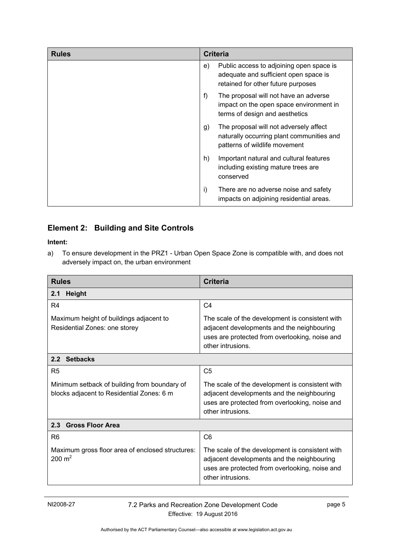| <b>Rules</b> | <b>Criteria</b>                                                                                                               |
|--------------|-------------------------------------------------------------------------------------------------------------------------------|
|              | Public access to adjoining open space is<br>e)<br>adequate and sufficient open space is<br>retained for other future purposes |
|              | f)<br>The proposal will not have an adverse<br>impact on the open space environment in<br>terms of design and aesthetics      |
|              | The proposal will not adversely affect<br>g)<br>naturally occurring plant communities and<br>patterns of wildlife movement    |
|              | h)<br>Important natural and cultural features<br>including existing mature trees are<br>conserved                             |
|              | i)<br>There are no adverse noise and safety<br>impacts on adjoining residential areas.                                        |

# <span id="page-8-0"></span>**Element 2: Building and Site Controls**

#### **Intent:**

a) To ensure development in the PRZ1 - Urban Open Space Zone is compatible with, and does not adversely impact on, the urban environment

<span id="page-8-1"></span>

| <b>Rules</b>                                                                              | Criteria                                                                                                                                                             |  |
|-------------------------------------------------------------------------------------------|----------------------------------------------------------------------------------------------------------------------------------------------------------------------|--|
| <b>Height</b><br>2.1                                                                      |                                                                                                                                                                      |  |
| R <sub>4</sub>                                                                            | C <sub>4</sub>                                                                                                                                                       |  |
| Maximum height of buildings adjacent to<br>Residential Zones: one storey                  | The scale of the development is consistent with<br>adjacent developments and the neighbouring<br>uses are protected from overlooking, noise and<br>other intrusions. |  |
| 2.2 Setbacks                                                                              |                                                                                                                                                                      |  |
| R <sub>5</sub>                                                                            | C <sub>5</sub>                                                                                                                                                       |  |
| Minimum setback of building from boundary of<br>blocks adjacent to Residential Zones: 6 m | The scale of the development is consistent with<br>adjacent developments and the neighbouring<br>uses are protected from overlooking, noise and<br>other intrusions. |  |
| 2.3 Gross Floor Area                                                                      |                                                                                                                                                                      |  |
| R <sub>6</sub>                                                                            | C <sub>6</sub>                                                                                                                                                       |  |
| Maximum gross floor area of enclosed structures:<br>$200 \text{ m}^2$                     | The scale of the development is consistent with<br>adjacent developments and the neighbouring<br>uses are protected from overlooking, noise and<br>other intrusions. |  |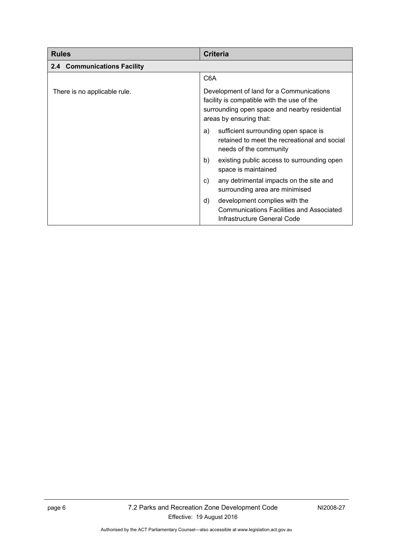<span id="page-9-2"></span><span id="page-9-1"></span><span id="page-9-0"></span>

| <b>Rules</b>                 | <b>Criteria</b>                                                                                                                                                    |
|------------------------------|--------------------------------------------------------------------------------------------------------------------------------------------------------------------|
| 2.4 Communications Facility  |                                                                                                                                                                    |
|                              | C <sub>6</sub> A                                                                                                                                                   |
| There is no applicable rule. | Development of land for a Communications<br>facility is compatible with the use of the<br>surrounding open space and nearby residential<br>areas by ensuring that: |
|                              | sufficient surrounding open space is<br>a)<br>retained to meet the recreational and social<br>needs of the community                                               |
|                              | b)<br>existing public access to surrounding open<br>space is maintained                                                                                            |
|                              | any detrimental impacts on the site and<br>C)<br>surrounding area are minimised                                                                                    |
|                              | development complies with the<br>d)<br>Communications Facilities and Associated<br>Infrastructure General Code                                                     |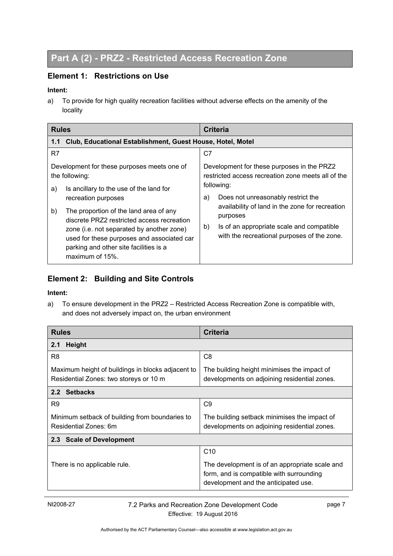# <span id="page-10-0"></span>**Part A (2) - PRZ2 - Restricted Access Recreation Zone**

### <span id="page-10-1"></span>**Element 1: Restrictions on Use**

#### **Intent:**

a) To provide for high quality recreation facilities without adverse effects on the amenity of the locality

<span id="page-10-2"></span>

| <b>Rules</b>                                                                                                                                                                                       | <b>Criteria</b>                                                                                                |
|----------------------------------------------------------------------------------------------------------------------------------------------------------------------------------------------------|----------------------------------------------------------------------------------------------------------------|
| Club, Educational Establishment, Guest House, Hotel, Motel<br>1.1                                                                                                                                  |                                                                                                                |
| R7                                                                                                                                                                                                 | C7                                                                                                             |
| Development for these purposes meets one of<br>the following:<br>Is ancillary to the use of the land for<br>a)                                                                                     | Development for these purposes in the PRZ2<br>restricted access recreation zone meets all of the<br>following: |
| recreation purposes<br>b)<br>The proportion of the land area of any                                                                                                                                | Does not unreasonably restrict the<br>a)<br>availability of land in the zone for recreation                    |
| discrete PRZ2 restricted access recreation<br>zone (i.e. not separated by another zone)<br>used for these purposes and associated car<br>parking and other site facilities is a<br>maximum of 15%. | purposes<br>Is of an appropriate scale and compatible<br>b)<br>with the recreational purposes of the zone.     |

### <span id="page-10-3"></span>**Element 2: Building and Site Controls**

#### **Intent:**

a) To ensure development in the PRZ2 – Restricted Access Recreation Zone is compatible with, and does not adversely impact on, the urban environment

<span id="page-10-5"></span><span id="page-10-4"></span>

| <b>Rules</b>                                                                                | <b>Criteria</b>                                                                                                                    |  |
|---------------------------------------------------------------------------------------------|------------------------------------------------------------------------------------------------------------------------------------|--|
| <b>Height</b><br>2.1                                                                        |                                                                                                                                    |  |
| R <sub>8</sub>                                                                              | C8                                                                                                                                 |  |
| Maximum height of buildings in blocks adjacent to<br>Residential Zones: two storeys or 10 m | The building height minimises the impact of<br>developments on adjoining residential zones.                                        |  |
| 2.2 Setbacks                                                                                |                                                                                                                                    |  |
| R <sub>9</sub>                                                                              | C <sub>9</sub>                                                                                                                     |  |
| Minimum setback of building from boundaries to<br>Residential Zones: 6m                     | The building setback minimises the impact of<br>developments on adjoining residential zones.                                       |  |
| 2.3 Scale of Development                                                                    |                                                                                                                                    |  |
|                                                                                             | C <sub>10</sub>                                                                                                                    |  |
| There is no applicable rule.                                                                | The development is of an appropriate scale and<br>form, and is compatible with surrounding<br>development and the anticipated use. |  |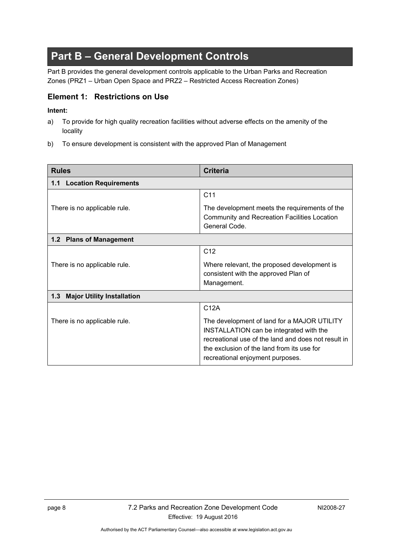# **Part B – General Development Controls**

Part B provides the general development controls applicable to the Urban Parks and Recreation Zones (PRZ1 – Urban Open Space and PRZ2 – Restricted Access Recreation Zones)

#### **Element 1: Restrictions on Use**

#### **Intent:**

- a) To provide for high quality recreation facilities without adverse effects on the amenity of the locality
- b) To ensure development is consistent with the approved Plan of Management

<span id="page-11-0"></span>

| <b>Rules</b>                             | <b>Criteria</b>                                                                                                                                                                                                                 |  |
|------------------------------------------|---------------------------------------------------------------------------------------------------------------------------------------------------------------------------------------------------------------------------------|--|
| 1.1 Location Requirements                |                                                                                                                                                                                                                                 |  |
|                                          | C <sub>11</sub>                                                                                                                                                                                                                 |  |
| There is no applicable rule.             | The development meets the requirements of the<br>Community and Recreation Facilities Location<br>General Code.                                                                                                                  |  |
| 1.2 Plans of Management                  |                                                                                                                                                                                                                                 |  |
|                                          | C <sub>12</sub>                                                                                                                                                                                                                 |  |
| There is no applicable rule.             | Where relevant, the proposed development is<br>consistent with the approved Plan of<br>Management.                                                                                                                              |  |
| 1.3<br><b>Major Utility Installation</b> |                                                                                                                                                                                                                                 |  |
|                                          | C <sub>12</sub> A                                                                                                                                                                                                               |  |
| There is no applicable rule.             | The development of land for a MAJOR UTILITY<br>INSTALLATION can be integrated with the<br>recreational use of the land and does not result in<br>the exclusion of the land from its use for<br>recreational enjoyment purposes. |  |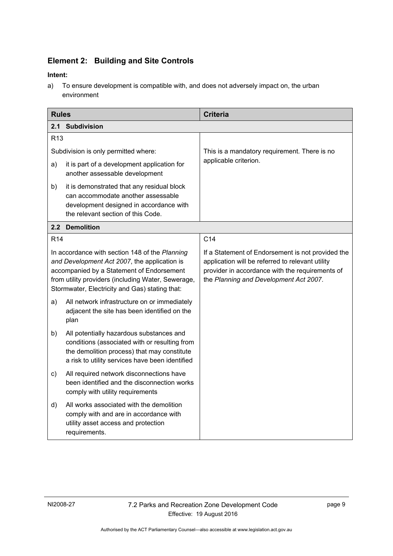# <span id="page-12-0"></span>**Element 2: Building and Site Controls**

#### **Intent:**

<span id="page-12-1"></span>a) To ensure development is compatible with, and does not adversely impact on, the urban environment

<span id="page-12-4"></span><span id="page-12-3"></span><span id="page-12-2"></span>

| <b>Rules</b>                         |                                                                                                                                                                                                                                                     | <b>Criteria</b>                                                                                                                                                                                    |
|--------------------------------------|-----------------------------------------------------------------------------------------------------------------------------------------------------------------------------------------------------------------------------------------------------|----------------------------------------------------------------------------------------------------------------------------------------------------------------------------------------------------|
| 2.1                                  | <b>Subdivision</b>                                                                                                                                                                                                                                  |                                                                                                                                                                                                    |
| R <sub>13</sub>                      |                                                                                                                                                                                                                                                     |                                                                                                                                                                                                    |
| Subdivision is only permitted where: |                                                                                                                                                                                                                                                     | This is a mandatory requirement. There is no                                                                                                                                                       |
| a)                                   | it is part of a development application for<br>another assessable development                                                                                                                                                                       | applicable criterion.                                                                                                                                                                              |
| b)                                   | it is demonstrated that any residual block<br>can accommodate another assessable<br>development designed in accordance with<br>the relevant section of this Code.                                                                                   |                                                                                                                                                                                                    |
|                                      | 2.2 Demolition                                                                                                                                                                                                                                      |                                                                                                                                                                                                    |
| R <sub>14</sub>                      |                                                                                                                                                                                                                                                     | C <sub>14</sub>                                                                                                                                                                                    |
|                                      | In accordance with section 148 of the Planning<br>and Development Act 2007, the application is<br>accompanied by a Statement of Endorsement<br>from utility providers (including Water, Sewerage,<br>Stormwater, Electricity and Gas) stating that: | If a Statement of Endorsement is not provided the<br>application will be referred to relevant utility<br>provider in accordance with the requirements of<br>the Planning and Development Act 2007. |
| a)                                   | All network infrastructure on or immediately<br>adjacent the site has been identified on the<br>plan                                                                                                                                                |                                                                                                                                                                                                    |
| b)                                   | All potentially hazardous substances and<br>conditions (associated with or resulting from<br>the demolition process) that may constitute<br>a risk to utility services have been identified                                                         |                                                                                                                                                                                                    |
| C)                                   | All required network disconnections have<br>been identified and the disconnection works<br>comply with utility requirements                                                                                                                         |                                                                                                                                                                                                    |
| d)                                   | All works associated with the demolition<br>comply with and are in accordance with<br>utility asset access and protection<br>requirements.                                                                                                          |                                                                                                                                                                                                    |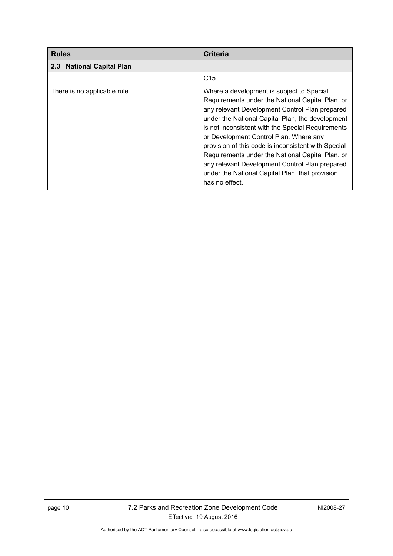<span id="page-13-2"></span><span id="page-13-1"></span><span id="page-13-0"></span>

| <b>Rules</b>                                     | <b>Criteria</b>                                                                                                                                                                                                                                                                                                                                                                                                                                                                                                                      |
|--------------------------------------------------|--------------------------------------------------------------------------------------------------------------------------------------------------------------------------------------------------------------------------------------------------------------------------------------------------------------------------------------------------------------------------------------------------------------------------------------------------------------------------------------------------------------------------------------|
| <b>National Capital Plan</b><br>2.3 <sub>2</sub> |                                                                                                                                                                                                                                                                                                                                                                                                                                                                                                                                      |
|                                                  | C <sub>15</sub>                                                                                                                                                                                                                                                                                                                                                                                                                                                                                                                      |
| There is no applicable rule.                     | Where a development is subject to Special<br>Requirements under the National Capital Plan, or<br>any relevant Development Control Plan prepared<br>under the National Capital Plan, the development<br>is not inconsistent with the Special Requirements<br>or Development Control Plan. Where any<br>provision of this code is inconsistent with Special<br>Requirements under the National Capital Plan, or<br>any relevant Development Control Plan prepared<br>under the National Capital Plan, that provision<br>has no effect. |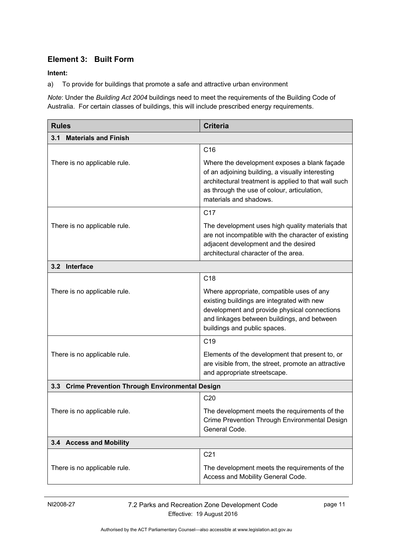## **Element 3: Built Form**

#### <span id="page-14-0"></span>**Intent:**

a) To provide for buildings that promote a safe and attractive urban environment

*Note*: Under the *Building Act 2004* buildings need to meet the requirements of the Building Code of Australia. For certain classes of buildings, this will include prescribed energy requirements.

| <b>Rules</b>                                      | <b>Criteria</b>                                                                                                                                                                                                                   |  |
|---------------------------------------------------|-----------------------------------------------------------------------------------------------------------------------------------------------------------------------------------------------------------------------------------|--|
| <b>Materials and Finish</b><br>3.1                |                                                                                                                                                                                                                                   |  |
|                                                   | C16                                                                                                                                                                                                                               |  |
| There is no applicable rule.                      | Where the development exposes a blank façade<br>of an adjoining building, a visually interesting<br>architectural treatment is applied to that wall such<br>as through the use of colour, articulation,<br>materials and shadows. |  |
|                                                   | C <sub>17</sub>                                                                                                                                                                                                                   |  |
| There is no applicable rule.                      | The development uses high quality materials that<br>are not incompatible with the character of existing<br>adjacent development and the desired<br>architectural character of the area.                                           |  |
| Interface<br>3.2                                  |                                                                                                                                                                                                                                   |  |
|                                                   | C <sub>18</sub>                                                                                                                                                                                                                   |  |
| There is no applicable rule.                      | Where appropriate, compatible uses of any<br>existing buildings are integrated with new<br>development and provide physical connections<br>and linkages between buildings, and between<br>buildings and public spaces.            |  |
|                                                   | C <sub>19</sub>                                                                                                                                                                                                                   |  |
| There is no applicable rule.                      | Elements of the development that present to, or<br>are visible from, the street, promote an attractive<br>and appropriate streetscape.                                                                                            |  |
| 3.3 Crime Prevention Through Environmental Design |                                                                                                                                                                                                                                   |  |
|                                                   | C <sub>20</sub>                                                                                                                                                                                                                   |  |
| There is no applicable rule.                      | The development meets the requirements of the<br>Crime Prevention Through Environmental Design<br>General Code.                                                                                                                   |  |
| 3.4 Access and Mobility                           |                                                                                                                                                                                                                                   |  |
|                                                   | C <sub>21</sub>                                                                                                                                                                                                                   |  |
| There is no applicable rule.                      | The development meets the requirements of the<br>Access and Mobility General Code.                                                                                                                                                |  |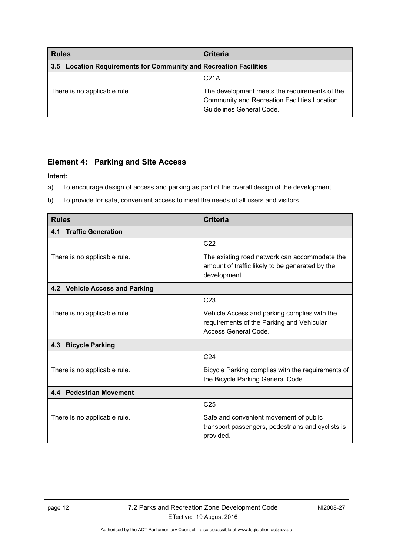<span id="page-15-0"></span>

| <b>Rules</b>                                                      | <b>Criteria</b>                                                                                                           |
|-------------------------------------------------------------------|---------------------------------------------------------------------------------------------------------------------------|
| 3.5 Location Requirements for Community and Recreation Facilities |                                                                                                                           |
|                                                                   | C <sub>21A</sub>                                                                                                          |
| There is no applicable rule.                                      | The development meets the requirements of the<br>Community and Recreation Facilities Location<br>Guidelines General Code. |

#### <span id="page-15-1"></span>**Element 4: Parking and Site Access**

#### **Intent:**

- a) To encourage design of access and parking as part of the overall design of the development
- b) To provide for safe, convenient access to meet the needs of all users and visitors

<span id="page-15-3"></span><span id="page-15-2"></span>

| <b>Rules</b>                     | <b>Criteria</b>                                                                                                   |
|----------------------------------|-------------------------------------------------------------------------------------------------------------------|
| <b>Traffic Generation</b><br>4.1 |                                                                                                                   |
|                                  | C <sub>22</sub>                                                                                                   |
| There is no applicable rule.     | The existing road network can accommodate the<br>amount of traffic likely to be generated by the<br>development.  |
| 4.2 Vehicle Access and Parking   |                                                                                                                   |
|                                  | C <sub>23</sub>                                                                                                   |
| There is no applicable rule.     | Vehicle Access and parking complies with the<br>requirements of the Parking and Vehicular<br>Access General Code. |
| 4.3<br><b>Bicycle Parking</b>    |                                                                                                                   |
|                                  | C <sub>24</sub>                                                                                                   |
| There is no applicable rule.     | Bicycle Parking complies with the requirements of<br>the Bicycle Parking General Code.                            |
| 4.4 Pedestrian Movement          |                                                                                                                   |
|                                  | C <sub>25</sub>                                                                                                   |
| There is no applicable rule.     | Safe and convenient movement of public<br>transport passengers, pedestrians and cyclists is<br>provided.          |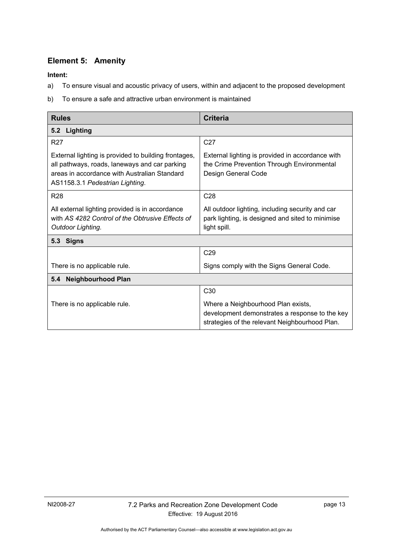# <span id="page-16-1"></span>**Element 5: Amenity**

**Intent:** 

- a) To ensure visual and acoustic privacy of users, within and adjacent to the proposed development
- b) To ensure a safe and attractive urban environment is maintained

<span id="page-16-5"></span><span id="page-16-4"></span><span id="page-16-3"></span><span id="page-16-2"></span><span id="page-16-0"></span>

| <b>Rules</b>                                                                                                                                                                             | <b>Criteria</b>                                                                                                                        |
|------------------------------------------------------------------------------------------------------------------------------------------------------------------------------------------|----------------------------------------------------------------------------------------------------------------------------------------|
| 5.2 Lighting                                                                                                                                                                             |                                                                                                                                        |
| <b>R27</b>                                                                                                                                                                               | C <sub>27</sub>                                                                                                                        |
| External lighting is provided to building frontages,<br>all pathways, roads, laneways and car parking<br>areas in accordance with Australian Standard<br>AS1158.3.1 Pedestrian Lighting. | External lighting is provided in accordance with<br>the Crime Prevention Through Environmental<br>Design General Code                  |
| <b>R28</b>                                                                                                                                                                               | C <sub>28</sub>                                                                                                                        |
| All external lighting provided is in accordance<br>with AS 4282 Control of the Obtrusive Effects of<br>Outdoor Lighting.                                                                 | All outdoor lighting, including security and car<br>park lighting, is designed and sited to minimise<br>light spill.                   |
| <b>Signs</b><br>5.3                                                                                                                                                                      |                                                                                                                                        |
|                                                                                                                                                                                          | C <sub>29</sub>                                                                                                                        |
| There is no applicable rule.                                                                                                                                                             | Signs comply with the Signs General Code.                                                                                              |
| <b>Neighbourhood Plan</b><br>5.4                                                                                                                                                         |                                                                                                                                        |
|                                                                                                                                                                                          | C <sub>30</sub>                                                                                                                        |
| There is no applicable rule.                                                                                                                                                             | Where a Neighbourhood Plan exists,<br>development demonstrates a response to the key<br>strategies of the relevant Neighbourhood Plan. |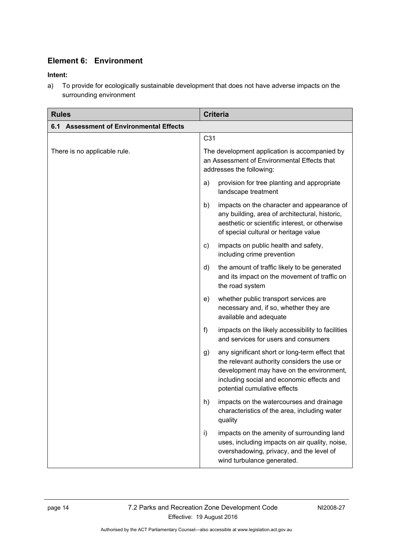# **Element 6: Environment**

#### **Intent:**

a) To provide for ecologically sustainable development that does not have adverse impacts on the surrounding environment

<span id="page-17-0"></span>

| <b>Rules</b>                                      | <b>Criteria</b>                                                                                                                                                                                                              |
|---------------------------------------------------|------------------------------------------------------------------------------------------------------------------------------------------------------------------------------------------------------------------------------|
| <b>Assessment of Environmental Effects</b><br>6.1 |                                                                                                                                                                                                                              |
|                                                   | C <sub>31</sub>                                                                                                                                                                                                              |
| There is no applicable rule.                      | The development application is accompanied by<br>an Assessment of Environmental Effects that<br>addresses the following:                                                                                                     |
|                                                   | provision for tree planting and appropriate<br>a)<br>landscape treatment                                                                                                                                                     |
|                                                   | impacts on the character and appearance of<br>b)<br>any building, area of architectural, historic,<br>aesthetic or scientific interest, or otherwise<br>of special cultural or heritage value                                |
|                                                   | impacts on public health and safety,<br>C)<br>including crime prevention                                                                                                                                                     |
|                                                   | the amount of traffic likely to be generated<br>d)<br>and its impact on the movement of traffic on<br>the road system                                                                                                        |
|                                                   | whether public transport services are<br>e)<br>necessary and, if so, whether they are<br>available and adequate                                                                                                              |
|                                                   | f)<br>impacts on the likely accessibility to facilities<br>and services for users and consumers                                                                                                                              |
|                                                   | any significant short or long-term effect that<br>g)<br>the relevant authority considers the use or<br>development may have on the environment,<br>including social and economic effects and<br>potential cumulative effects |
|                                                   | impacts on the watercourses and drainage<br>n)<br>characteristics of the area, including water<br>quality                                                                                                                    |
|                                                   | impacts on the amenity of surrounding land<br>i)<br>uses, including impacts on air quality, noise,<br>overshadowing, privacy, and the level of<br>wind turbulance generated.                                                 |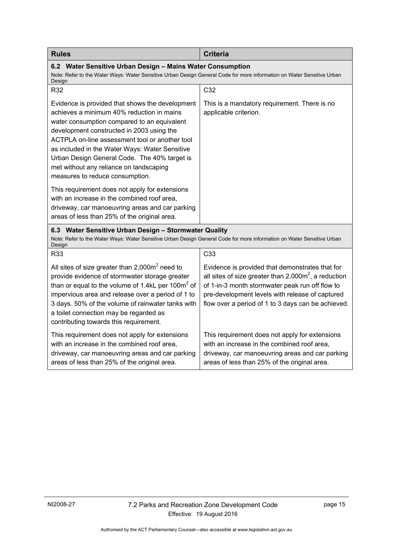<span id="page-18-3"></span><span id="page-18-2"></span><span id="page-18-1"></span><span id="page-18-0"></span>

| <b>Rules</b>                                                                                                                                                                                                                                                                                                                                                                                                               | <b>Criteria</b>                                                                                                                                                                                                                                                               |
|----------------------------------------------------------------------------------------------------------------------------------------------------------------------------------------------------------------------------------------------------------------------------------------------------------------------------------------------------------------------------------------------------------------------------|-------------------------------------------------------------------------------------------------------------------------------------------------------------------------------------------------------------------------------------------------------------------------------|
| 6.2 Water Sensitive Urban Design - Mains Water Consumption<br>Note: Refer to the Water Ways: Water Sensitive Urban Design General Code for more information on Water Sensitive Urban<br>Design                                                                                                                                                                                                                             |                                                                                                                                                                                                                                                                               |
| R32                                                                                                                                                                                                                                                                                                                                                                                                                        | C32                                                                                                                                                                                                                                                                           |
| Evidence is provided that shows the development<br>achieves a minimum 40% reduction in mains<br>water consumption compared to an equivalent<br>development constructed in 2003 using the<br>ACTPLA on-line assessment tool or another tool<br>as included in the Water Ways: Water Sensitive<br>Urban Design General Code. The 40% target is<br>met without any reliance on landscaping<br>measures to reduce consumption. | This is a mandatory requirement. There is no<br>applicable criterion.                                                                                                                                                                                                         |
| This requirement does not apply for extensions<br>with an increase in the combined roof area,<br>driveway, car manoeuvring areas and car parking<br>areas of less than 25% of the original area.                                                                                                                                                                                                                           |                                                                                                                                                                                                                                                                               |
| 6.3 Water Sensitive Urban Design - Stormwater Quality<br>Note: Refer to the Water Ways: Water Sensitive Urban Design General Code for more information on Water Sensitive Urban<br>Design                                                                                                                                                                                                                                  |                                                                                                                                                                                                                                                                               |
| R33                                                                                                                                                                                                                                                                                                                                                                                                                        | C33                                                                                                                                                                                                                                                                           |
| All sites of size greater than $2,000m^2$ need to<br>provide evidence of stormwater storage greater<br>than or equal to the volume of 1.4kL per 100 $m2$ of<br>impervious area and release over a period of 1 to<br>3 days. 50% of the volume of rainwater tanks with<br>a toilet connection may be regarded as<br>contributing towards this requirement.                                                                  | Evidence is provided that demonstrates that for<br>all sites of size greater than $2,000\text{m}^2$ , a reduction<br>of 1-in-3 month stormwater peak run off flow to<br>pre-development levels with release of captured<br>flow over a period of 1 to 3 days can be achieved. |
| This requirement does not apply for extensions<br>with an increase in the combined roof area,<br>driveway, car manoeuvring areas and car parking<br>areas of less than 25% of the original area.                                                                                                                                                                                                                           | This requirement does not apply for extensions<br>with an increase in the combined roof area,<br>driveway, car manoeuvring areas and car parking<br>areas of less than 25% of the original area.                                                                              |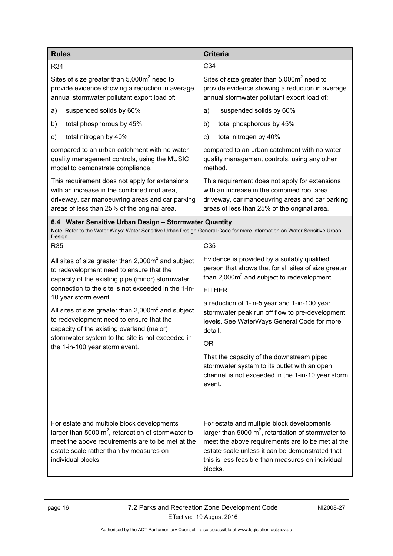<span id="page-19-1"></span><span id="page-19-0"></span>

| <b>Rules</b>                                                                                                                                                                                                                                                 | <b>Criteria</b>                                                                                                                                                                                                                                                            |
|--------------------------------------------------------------------------------------------------------------------------------------------------------------------------------------------------------------------------------------------------------------|----------------------------------------------------------------------------------------------------------------------------------------------------------------------------------------------------------------------------------------------------------------------------|
| R34                                                                                                                                                                                                                                                          | C34                                                                                                                                                                                                                                                                        |
| Sites of size greater than $5,000m^2$ need to<br>provide evidence showing a reduction in average<br>annual stormwater pollutant export load of:                                                                                                              | Sites of size greater than $5,000m^2$ need to<br>provide evidence showing a reduction in average<br>annual stormwater pollutant export load of:                                                                                                                            |
| suspended solids by 60%<br>a)                                                                                                                                                                                                                                | suspended solids by 60%<br>a)                                                                                                                                                                                                                                              |
| total phosphorous by 45%<br>b)                                                                                                                                                                                                                               | total phosphorous by 45%<br>b)                                                                                                                                                                                                                                             |
| total nitrogen by 40%<br>c)                                                                                                                                                                                                                                  | total nitrogen by 40%<br>c)                                                                                                                                                                                                                                                |
| compared to an urban catchment with no water<br>quality management controls, using the MUSIC<br>model to demonstrate compliance.                                                                                                                             | compared to an urban catchment with no water<br>quality management controls, using any other<br>method.                                                                                                                                                                    |
| This requirement does not apply for extensions<br>with an increase in the combined roof area,<br>driveway, car manoeuvring areas and car parking<br>areas of less than 25% of the original area.                                                             | This requirement does not apply for extensions<br>with an increase in the combined roof area,<br>driveway, car manoeuvring areas and car parking<br>areas of less than 25% of the original area.                                                                           |
| 6.4 Water Sensitive Urban Design - Stormwater Quantity<br>Note: Refer to the Water Ways: Water Sensitive Urban Design General Code for more information on Water Sensitive Urban<br>Design                                                                   |                                                                                                                                                                                                                                                                            |
| R35                                                                                                                                                                                                                                                          | C <sub>35</sub>                                                                                                                                                                                                                                                            |
| All sites of size greater than $2,000m^2$ and subject<br>to redevelopment need to ensure that the<br>capacity of the existing pipe (minor) stormwater                                                                                                        | Evidence is provided by a suitably qualified<br>person that shows that for all sites of size greater<br>than $2,000m^2$ and subject to redevelopment                                                                                                                       |
| connection to the site is not exceeded in the 1-in-                                                                                                                                                                                                          | <b>EITHER</b>                                                                                                                                                                                                                                                              |
| 10 year storm event.<br>All sites of size greater than $2,000m^2$ and subject<br>to redevelopment need to ensure that the<br>capacity of the existing overland (major)<br>stormwater system to the site is not exceeded in<br>the 1-in-100 year storm event. | a reduction of 1-in-5 year and 1-in-100 year<br>stormwater peak run off flow to pre-development<br>levels. See WaterWays General Code for more<br>detail.<br><b>OR</b>                                                                                                     |
|                                                                                                                                                                                                                                                              | That the capacity of the downstream piped<br>stormwater system to its outlet with an open<br>channel is not exceeded in the 1-in-10 year storm<br>event.                                                                                                                   |
| For estate and multiple block developments<br>larger than 5000 $m^2$ , retardation of stormwater to<br>meet the above requirements are to be met at the<br>estate scale rather than by measures on<br>individual blocks.                                     | For estate and multiple block developments<br>larger than 5000 $m^2$ , retardation of stormwater to<br>meet the above requirements are to be met at the<br>estate scale unless it can be demonstrated that<br>this is less feasible than measures on individual<br>blocks. |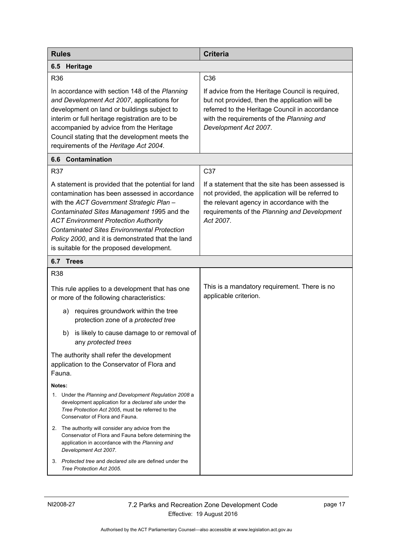| <b>Rules</b>                                                                                                                                                                                                                                                                                                                                                                                          | <b>Criteria</b>                                                                                                                                                                                                            |
|-------------------------------------------------------------------------------------------------------------------------------------------------------------------------------------------------------------------------------------------------------------------------------------------------------------------------------------------------------------------------------------------------------|----------------------------------------------------------------------------------------------------------------------------------------------------------------------------------------------------------------------------|
| 6.5<br>Heritage                                                                                                                                                                                                                                                                                                                                                                                       |                                                                                                                                                                                                                            |
| R36                                                                                                                                                                                                                                                                                                                                                                                                   | C <sub>36</sub>                                                                                                                                                                                                            |
| In accordance with section 148 of the Planning<br>and Development Act 2007, applications for<br>development on land or buildings subject to<br>interim or full heritage registration are to be<br>accompanied by advice from the Heritage<br>Council stating that the development meets the<br>requirements of the Heritage Act 2004.                                                                 | If advice from the Heritage Council is required,<br>but not provided, then the application will be<br>referred to the Heritage Council in accordance<br>with the requirements of the Planning and<br>Development Act 2007. |
| 6.6<br>Contamination                                                                                                                                                                                                                                                                                                                                                                                  |                                                                                                                                                                                                                            |
| R37                                                                                                                                                                                                                                                                                                                                                                                                   | C37                                                                                                                                                                                                                        |
| A statement is provided that the potential for land<br>contamination has been assessed in accordance<br>with the ACT Government Strategic Plan -<br>Contaminated Sites Management 1995 and the<br><b>ACT Environment Protection Authority</b><br><b>Contaminated Sites Environmental Protection</b><br>Policy 2000, and it is demonstrated that the land<br>is suitable for the proposed development. | If a statement that the site has been assessed is<br>not provided, the application will be referred to<br>the relevant agency in accordance with the<br>requirements of the Planning and Development<br>Act 2007.          |
| 6.7 Trees                                                                                                                                                                                                                                                                                                                                                                                             |                                                                                                                                                                                                                            |
| <b>R38</b>                                                                                                                                                                                                                                                                                                                                                                                            |                                                                                                                                                                                                                            |
| This rule applies to a development that has one<br>or more of the following characteristics:                                                                                                                                                                                                                                                                                                          | This is a mandatory requirement. There is no<br>applicable criterion.                                                                                                                                                      |
| requires groundwork within the tree<br>a)<br>protection zone of a protected tree                                                                                                                                                                                                                                                                                                                      |                                                                                                                                                                                                                            |
| is likely to cause damage to or removal of<br>b)<br>any protected trees                                                                                                                                                                                                                                                                                                                               |                                                                                                                                                                                                                            |
| The authority shall refer the development<br>application to the Conservator of Flora and<br>Fauna.                                                                                                                                                                                                                                                                                                    |                                                                                                                                                                                                                            |
| Notes:                                                                                                                                                                                                                                                                                                                                                                                                |                                                                                                                                                                                                                            |
| Under the Planning and Development Regulation 2008 a<br>1.<br>development application for a declared site under the<br>Tree Protection Act 2005, must be referred to the<br>Conservator of Flora and Fauna.                                                                                                                                                                                           |                                                                                                                                                                                                                            |
| 2. The authority will consider any advice from the<br>Conservator of Flora and Fauna before determining the<br>application in accordance with the Planning and<br>Development Act 2007.                                                                                                                                                                                                               |                                                                                                                                                                                                                            |
| Protected tree and declared site are defined under the<br>3.<br>Tree Protection Act 2005.                                                                                                                                                                                                                                                                                                             |                                                                                                                                                                                                                            |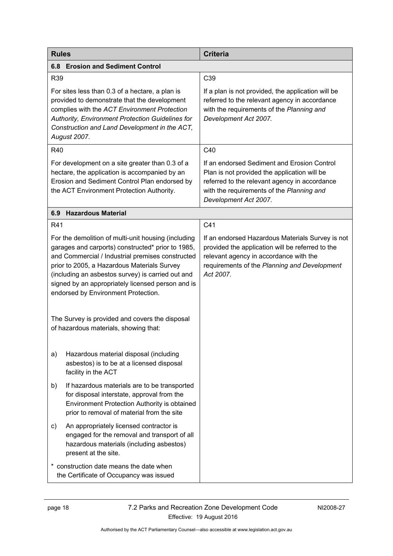<span id="page-21-1"></span><span id="page-21-0"></span>

| <b>Rules</b>                                                                                                                                                                                                                                                                                                                                                 | <b>Criteria</b>                                                                                                                                                                                                    |  |
|--------------------------------------------------------------------------------------------------------------------------------------------------------------------------------------------------------------------------------------------------------------------------------------------------------------------------------------------------------------|--------------------------------------------------------------------------------------------------------------------------------------------------------------------------------------------------------------------|--|
| <b>Erosion and Sediment Control</b><br>6.8                                                                                                                                                                                                                                                                                                                   |                                                                                                                                                                                                                    |  |
| R39                                                                                                                                                                                                                                                                                                                                                          | C39                                                                                                                                                                                                                |  |
| For sites less than 0.3 of a hectare, a plan is<br>provided to demonstrate that the development<br>complies with the ACT Environment Protection<br>Authority, Environment Protection Guidelines for<br>Construction and Land Development in the ACT,<br>August 2007.                                                                                         | If a plan is not provided, the application will be<br>referred to the relevant agency in accordance<br>with the requirements of the Planning and<br>Development Act 2007.                                          |  |
| <b>R40</b>                                                                                                                                                                                                                                                                                                                                                   | C40                                                                                                                                                                                                                |  |
| For development on a site greater than 0.3 of a<br>hectare, the application is accompanied by an<br>Erosion and Sediment Control Plan endorsed by<br>the ACT Environment Protection Authority.                                                                                                                                                               | If an endorsed Sediment and Erosion Control<br>Plan is not provided the application will be<br>referred to the relevant agency in accordance<br>with the requirements of the Planning and<br>Development Act 2007. |  |
| <b>Hazardous Material</b><br>6.9                                                                                                                                                                                                                                                                                                                             |                                                                                                                                                                                                                    |  |
| R41                                                                                                                                                                                                                                                                                                                                                          | C41                                                                                                                                                                                                                |  |
| For the demolition of multi-unit housing (including<br>garages and carports) constructed* prior to 1985,<br>and Commercial / Industrial premises constructed<br>prior to 2005, a Hazardous Materials Survey<br>(including an asbestos survey) is carried out and<br>signed by an appropriately licensed person and is<br>endorsed by Environment Protection. | If an endorsed Hazardous Materials Survey is not<br>provided the application will be referred to the<br>relevant agency in accordance with the<br>requirements of the Planning and Development<br>Act 2007.        |  |
| The Survey is provided and covers the disposal<br>of hazardous materials, showing that:                                                                                                                                                                                                                                                                      |                                                                                                                                                                                                                    |  |
| Hazardous material disposal (including<br>a)<br>asbestos) is to be at a licensed disposal<br>facility in the ACT                                                                                                                                                                                                                                             |                                                                                                                                                                                                                    |  |
| If hazardous materials are to be transported<br>b)<br>for disposal interstate, approval from the<br>Environment Protection Authority is obtained<br>prior to removal of material from the site                                                                                                                                                               |                                                                                                                                                                                                                    |  |
| An appropriately licensed contractor is<br>C)<br>engaged for the removal and transport of all<br>hazardous materials (including asbestos)<br>present at the site.                                                                                                                                                                                            |                                                                                                                                                                                                                    |  |
| * construction date means the date when<br>the Certificate of Occupancy was issued                                                                                                                                                                                                                                                                           |                                                                                                                                                                                                                    |  |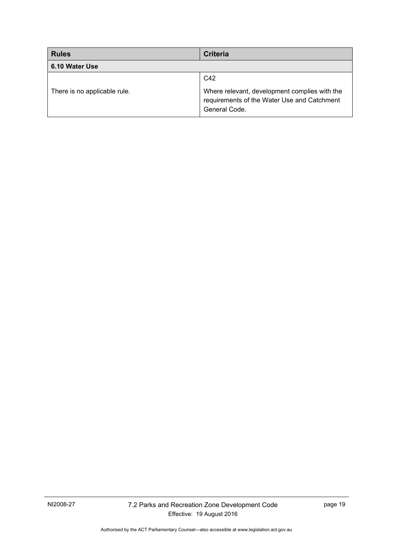<span id="page-22-0"></span>

| <b>Rules</b>                 | <b>Criteria</b>                                                                                               |
|------------------------------|---------------------------------------------------------------------------------------------------------------|
| 6.10 Water Use               |                                                                                                               |
|                              | C42                                                                                                           |
| There is no applicable rule. | Where relevant, development complies with the<br>requirements of the Water Use and Catchment<br>General Code. |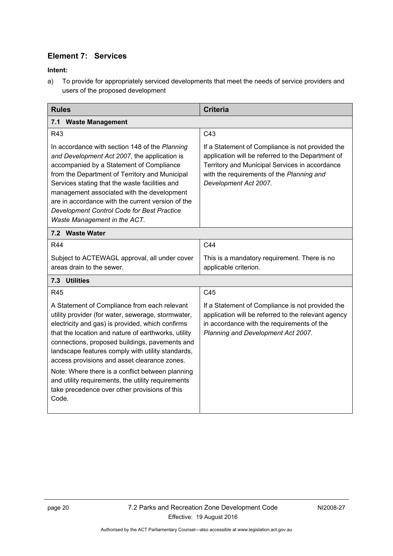## **Element 7: Services**

#### <span id="page-23-0"></span>**Intent:**

a) To provide for appropriately serviced developments that meet the needs of service providers and users of the proposed development

<span id="page-23-2"></span><span id="page-23-1"></span>

| <b>Rules</b>                                                                                                                                                                                                                                                                                                                                                                                                                                                                                                                             | <b>Criteria</b>                                                                                                                                                                                                               |
|------------------------------------------------------------------------------------------------------------------------------------------------------------------------------------------------------------------------------------------------------------------------------------------------------------------------------------------------------------------------------------------------------------------------------------------------------------------------------------------------------------------------------------------|-------------------------------------------------------------------------------------------------------------------------------------------------------------------------------------------------------------------------------|
| 7.1 Waste Management                                                                                                                                                                                                                                                                                                                                                                                                                                                                                                                     |                                                                                                                                                                                                                               |
| R43                                                                                                                                                                                                                                                                                                                                                                                                                                                                                                                                      | C <sub>43</sub>                                                                                                                                                                                                               |
| In accordance with section 148 of the Planning<br>and Development Act 2007, the application is<br>accompanied by a Statement of Compliance<br>from the Department of Territory and Municipal<br>Services stating that the waste facilities and<br>management associated with the development<br>are in accordance with the current version of the<br>Development Control Code for Best Practice<br>Waste Management in the ACT.                                                                                                          | If a Statement of Compliance is not provided the<br>application will be referred to the Department of<br>Territory and Municipal Services in accordance<br>with the requirements of the Planning and<br>Development Act 2007. |
| 7.2 Waste Water                                                                                                                                                                                                                                                                                                                                                                                                                                                                                                                          |                                                                                                                                                                                                                               |
| R44                                                                                                                                                                                                                                                                                                                                                                                                                                                                                                                                      | C44                                                                                                                                                                                                                           |
| Subject to ACTEWAGL approval, all under cover<br>areas drain to the sewer.                                                                                                                                                                                                                                                                                                                                                                                                                                                               | This is a mandatory requirement. There is no<br>applicable criterion.                                                                                                                                                         |
| <b>Utilities</b><br>7.3                                                                                                                                                                                                                                                                                                                                                                                                                                                                                                                  |                                                                                                                                                                                                                               |
| R45                                                                                                                                                                                                                                                                                                                                                                                                                                                                                                                                      | C45                                                                                                                                                                                                                           |
| A Statement of Compliance from each relevant<br>utility provider (for water, sewerage, stormwater,<br>electricity and gas) is provided, which confirms<br>that the location and nature of earthworks, utility<br>connections, proposed buildings, pavements and<br>landscape features comply with utility standards,<br>access provisions and asset clearance zones.<br>Note: Where there is a conflict between planning<br>and utility requirements, the utility requirements<br>take precedence over other provisions of this<br>Code. | If a Statement of Compliance is not provided the<br>application will be referred to the relevant agency<br>in accordance with the requirements of the<br>Planning and Development Act 2007.                                   |